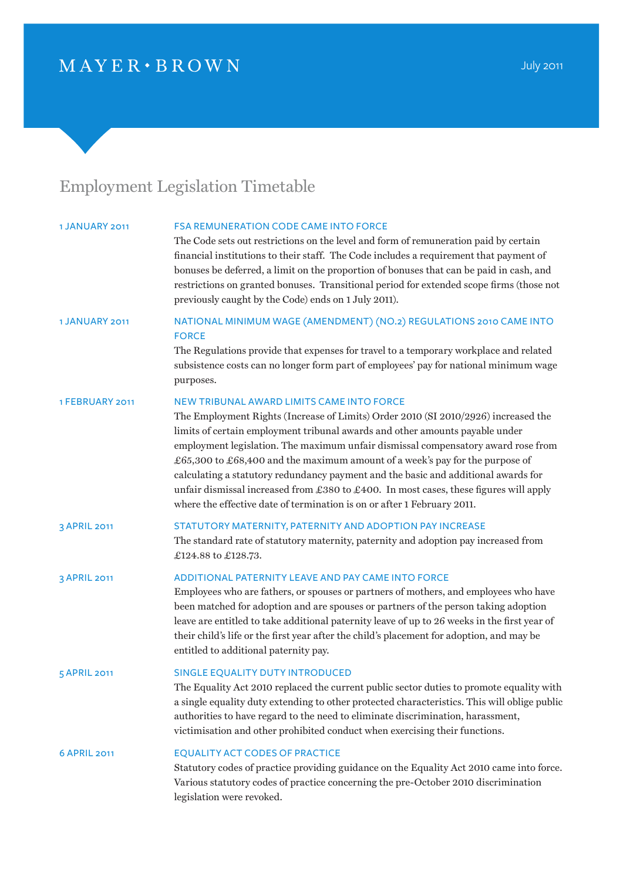## $MAYER \cdot BROWN$

## Employment Legislation Timetable

| 1 JANUARY 2011        | <b>FSA REMUNERATION CODE CAME INTO FORCE</b><br>The Code sets out restrictions on the level and form of remuneration paid by certain<br>financial institutions to their staff. The Code includes a requirement that payment of<br>bonuses be deferred, a limit on the proportion of bonuses that can be paid in cash, and<br>restrictions on granted bonuses. Transitional period for extended scope firms (those not<br>previously caught by the Code) ends on 1 July 2011).                                                                                                                                                                  |
|-----------------------|------------------------------------------------------------------------------------------------------------------------------------------------------------------------------------------------------------------------------------------------------------------------------------------------------------------------------------------------------------------------------------------------------------------------------------------------------------------------------------------------------------------------------------------------------------------------------------------------------------------------------------------------|
| <b>1 JANUARY 2011</b> | NATIONAL MINIMUM WAGE (AMENDMENT) (NO.2) REGULATIONS 2010 CAME INTO<br><b>FORCE</b><br>The Regulations provide that expenses for travel to a temporary workplace and related<br>subsistence costs can no longer form part of employees' pay for national minimum wage<br>purposes.                                                                                                                                                                                                                                                                                                                                                             |
| 1 FEBRUARY 2011       | NEW TRIBUNAL AWARD LIMITS CAME INTO FORCE<br>The Employment Rights (Increase of Limits) Order 2010 (SI 2010/2926) increased the<br>limits of certain employment tribunal awards and other amounts payable under<br>employment legislation. The maximum unfair dismissal compensatory award rose from<br>£65,300 to £68,400 and the maximum amount of a week's pay for the purpose of<br>calculating a statutory redundancy payment and the basic and additional awards for<br>unfair dismissal increased from £380 to £400. In most cases, these figures will apply<br>where the effective date of termination is on or after 1 February 2011. |
| 3 APRIL 2011          | STATUTORY MATERNITY, PATERNITY AND ADOPTION PAY INCREASE<br>The standard rate of statutory maternity, paternity and adoption pay increased from<br>£124.88 to £128.73.                                                                                                                                                                                                                                                                                                                                                                                                                                                                         |
| 3 APRIL 2011          | ADDITIONAL PATERNITY LEAVE AND PAY CAME INTO FORCE<br>Employees who are fathers, or spouses or partners of mothers, and employees who have<br>been matched for adoption and are spouses or partners of the person taking adoption<br>leave are entitled to take additional paternity leave of up to 26 weeks in the first year of<br>their child's life or the first year after the child's placement for adoption, and may be<br>entitled to additional paternity pay.                                                                                                                                                                        |
| 5 APRIL 2011          | <b>SINGLE EQUALITY DUTY INTRODUCED</b><br>The Equality Act 2010 replaced the current public sector duties to promote equality with<br>a single equality duty extending to other protected characteristics. This will oblige public<br>authorities to have regard to the need to eliminate discrimination, harassment,<br>victimisation and other prohibited conduct when exercising their functions.                                                                                                                                                                                                                                           |
| <b>6 APRIL 2011</b>   | <b>EQUALITY ACT CODES OF PRACTICE</b><br>Statutory codes of practice providing guidance on the Equality Act 2010 came into force.<br>Various statutory codes of practice concerning the pre-October 2010 discrimination<br>legislation were revoked.                                                                                                                                                                                                                                                                                                                                                                                           |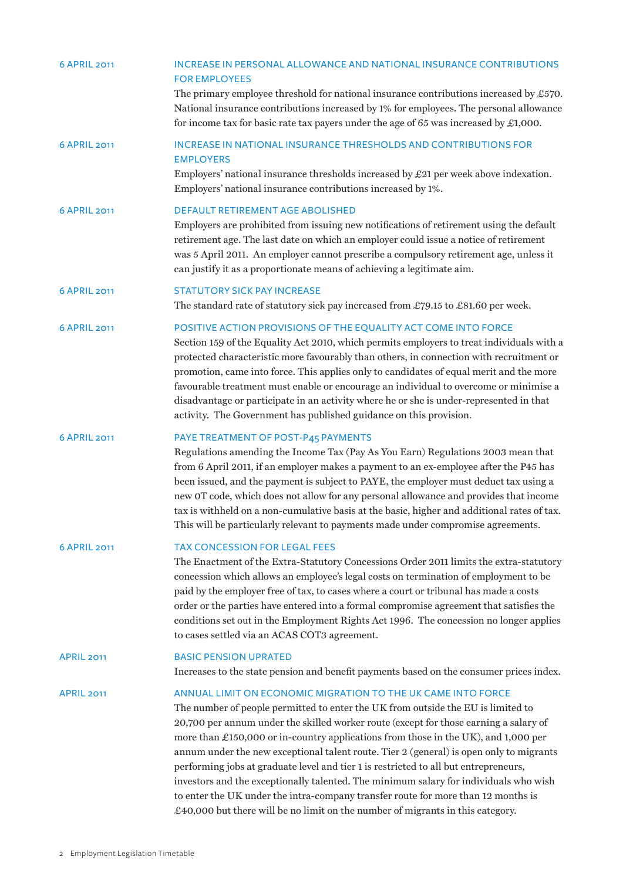| <b>6 APRIL 2011</b>   | <b>INCREASE IN PERSONAL ALLOWANCE AND NATIONAL INSURANCE CONTRIBUTIONS</b><br><b>FOR EMPLOYEES</b><br>The primary employee threshold for national insurance contributions increased by £570.<br>National insurance contributions increased by 1% for employees. The personal allowance<br>for income tax for basic rate tax payers under the age of 65 was increased by £1,000.                                                                                                                                                                                                                                                                                                                                                                                                      |  |
|-----------------------|--------------------------------------------------------------------------------------------------------------------------------------------------------------------------------------------------------------------------------------------------------------------------------------------------------------------------------------------------------------------------------------------------------------------------------------------------------------------------------------------------------------------------------------------------------------------------------------------------------------------------------------------------------------------------------------------------------------------------------------------------------------------------------------|--|
| <b>6 APRIL 2011</b>   | <b>INCREASE IN NATIONAL INSURANCE THRESHOLDS AND CONTRIBUTIONS FOR</b><br><b>EMPLOYERS</b><br>Employers' national insurance thresholds increased by $£21$ per week above indexation.<br>Employers' national insurance contributions increased by 1%.                                                                                                                                                                                                                                                                                                                                                                                                                                                                                                                                 |  |
| <b>6 APRIL 2011</b>   | DEFAULT RETIREMENT AGE ABOLISHED<br>Employers are prohibited from issuing new notifications of retirement using the default<br>retirement age. The last date on which an employer could issue a notice of retirement<br>was 5 April 2011. An employer cannot prescribe a compulsory retirement age, unless it<br>can justify it as a proportionate means of achieving a legitimate aim.                                                                                                                                                                                                                                                                                                                                                                                              |  |
| <b>6 APRIL 2011</b>   | <b>STATUTORY SICK PAY INCREASE</b><br>The standard rate of statutory sick pay increased from £79.15 to £81.60 per week.                                                                                                                                                                                                                                                                                                                                                                                                                                                                                                                                                                                                                                                              |  |
| <b>6 APRIL 2011</b>   | POSITIVE ACTION PROVISIONS OF THE EQUALITY ACT COME INTO FORCE<br>Section 159 of the Equality Act 2010, which permits employers to treat individuals with a<br>protected characteristic more favourably than others, in connection with recruitment or<br>promotion, came into force. This applies only to candidates of equal merit and the more<br>favourable treatment must enable or encourage an individual to overcome or minimise a<br>disadvantage or participate in an activity where he or she is under-represented in that<br>activity. The Government has published guidance on this provision.                                                                                                                                                                          |  |
| <b>6 APRIL 2011</b>   | PAYE TREATMENT OF POST-P45 PAYMENTS<br>Regulations amending the Income Tax (Pay As You Earn) Regulations 2003 mean that<br>from 6 April 2011, if an employer makes a payment to an ex-employee after the P45 has<br>been issued, and the payment is subject to PAYE, the employer must deduct tax using a<br>new OT code, which does not allow for any personal allowance and provides that income<br>tax is withheld on a non-cumulative basis at the basic, higher and additional rates of tax.<br>This will be particularly relevant to payments made under compromise agreements.                                                                                                                                                                                                |  |
| <b>6 APRIL 2011</b>   | <b>TAX CONCESSION FOR LEGAL FEES</b><br>The Enactment of the Extra-Statutory Concessions Order 2011 limits the extra-statutory<br>concession which allows an employee's legal costs on termination of employment to be<br>paid by the employer free of tax, to cases where a court or tribunal has made a costs<br>order or the parties have entered into a formal compromise agreement that satisfies the<br>conditions set out in the Employment Rights Act 1996. The concession no longer applies<br>to cases settled via an ACAS COT3 agreement.                                                                                                                                                                                                                                 |  |
| APRIL 2011            | <b>BASIC PENSION UPRATED</b><br>Increases to the state pension and benefit payments based on the consumer prices index.                                                                                                                                                                                                                                                                                                                                                                                                                                                                                                                                                                                                                                                              |  |
| APRIL <sub>2011</sub> | ANNUAL LIMIT ON ECONOMIC MIGRATION TO THE UK CAME INTO FORCE<br>The number of people permitted to enter the UK from outside the EU is limited to<br>20,700 per annum under the skilled worker route (except for those earning a salary of<br>more than £150,000 or in-country applications from those in the UK), and 1,000 per<br>annum under the new exceptional talent route. Tier 2 (general) is open only to migrants<br>performing jobs at graduate level and tier 1 is restricted to all but entrepreneurs,<br>investors and the exceptionally talented. The minimum salary for individuals who wish<br>to enter the UK under the intra-company transfer route for more than 12 months is<br>$£40,000$ but there will be no limit on the number of migrants in this category. |  |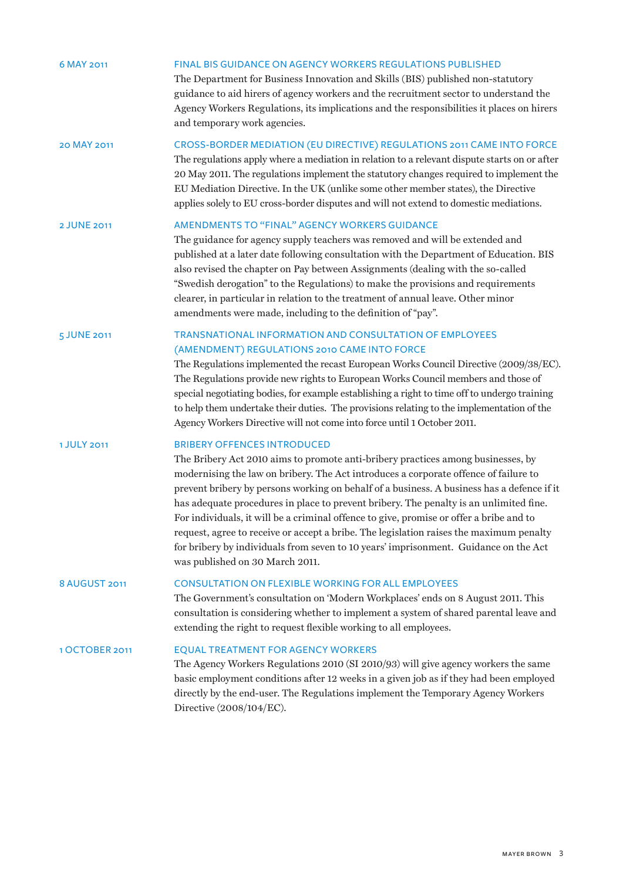| FINAL BIS GUIDANCE ON AGENCY WORKERS REGULATIONS PUBLISHED<br>The Department for Business Innovation and Skills (BIS) published non-statutory<br>guidance to aid hirers of agency workers and the recruitment sector to understand the<br>Agency Workers Regulations, its implications and the responsibilities it places on hirers<br>and temporary work agencies.                                                                                                                                                                                                                                                                                                                                                     |
|-------------------------------------------------------------------------------------------------------------------------------------------------------------------------------------------------------------------------------------------------------------------------------------------------------------------------------------------------------------------------------------------------------------------------------------------------------------------------------------------------------------------------------------------------------------------------------------------------------------------------------------------------------------------------------------------------------------------------|
| CROSS-BORDER MEDIATION (EU DIRECTIVE) REGULATIONS 2011 CAME INTO FORCE<br>The regulations apply where a mediation in relation to a relevant dispute starts on or after<br>20 May 2011. The regulations implement the statutory changes required to implement the<br>EU Mediation Directive. In the UK (unlike some other member states), the Directive<br>applies solely to EU cross-border disputes and will not extend to domestic mediations.                                                                                                                                                                                                                                                                        |
| AMENDMENTS TO "FINAL" AGENCY WORKERS GUIDANCE<br>The guidance for agency supply teachers was removed and will be extended and<br>published at a later date following consultation with the Department of Education. BIS<br>also revised the chapter on Pay between Assignments (dealing with the so-called<br>"Swedish derogation" to the Regulations) to make the provisions and requirements<br>clearer, in particular in relation to the treatment of annual leave. Other minor<br>amendments were made, including to the definition of "pay".                                                                                                                                                                       |
| TRANSNATIONAL INFORMATION AND CONSULTATION OF EMPLOYEES<br>(AMENDMENT) REGULATIONS 2010 CAME INTO FORCE<br>The Regulations implemented the recast European Works Council Directive (2009/38/EC).<br>The Regulations provide new rights to European Works Council members and those of<br>special negotiating bodies, for example establishing a right to time off to undergo training<br>to help them undertake their duties. The provisions relating to the implementation of the<br>Agency Workers Directive will not come into force until 1 October 2011.                                                                                                                                                           |
| <b>BRIBERY OFFENCES INTRODUCED</b><br>The Bribery Act 2010 aims to promote anti-bribery practices among businesses, by<br>modernising the law on bribery. The Act introduces a corporate offence of failure to<br>prevent bribery by persons working on behalf of a business. A business has a defence if it<br>has adequate procedures in place to prevent bribery. The penalty is an unlimited fine.<br>For individuals, it will be a criminal offence to give, promise or offer a bribe and to<br>request, agree to receive or accept a bribe. The legislation raises the maximum penalty<br>for bribery by individuals from seven to 10 years' imprisonment. Guidance on the Act<br>was published on 30 March 2011. |
| <b>CONSULTATION ON FLEXIBLE WORKING FOR ALL EMPLOYEES</b><br>The Government's consultation on 'Modern Workplaces' ends on 8 August 2011. This<br>consultation is considering whether to implement a system of shared parental leave and<br>extending the right to request flexible working to all employees.                                                                                                                                                                                                                                                                                                                                                                                                            |
| <b>EQUAL TREATMENT FOR AGENCY WORKERS</b><br>The Agency Workers Regulations 2010 (SI 2010/93) will give agency workers the same<br>basic employment conditions after 12 weeks in a given job as if they had been employed<br>directly by the end-user. The Regulations implement the Temporary Agency Workers<br>Directive (2008/104/EC).                                                                                                                                                                                                                                                                                                                                                                               |
|                                                                                                                                                                                                                                                                                                                                                                                                                                                                                                                                                                                                                                                                                                                         |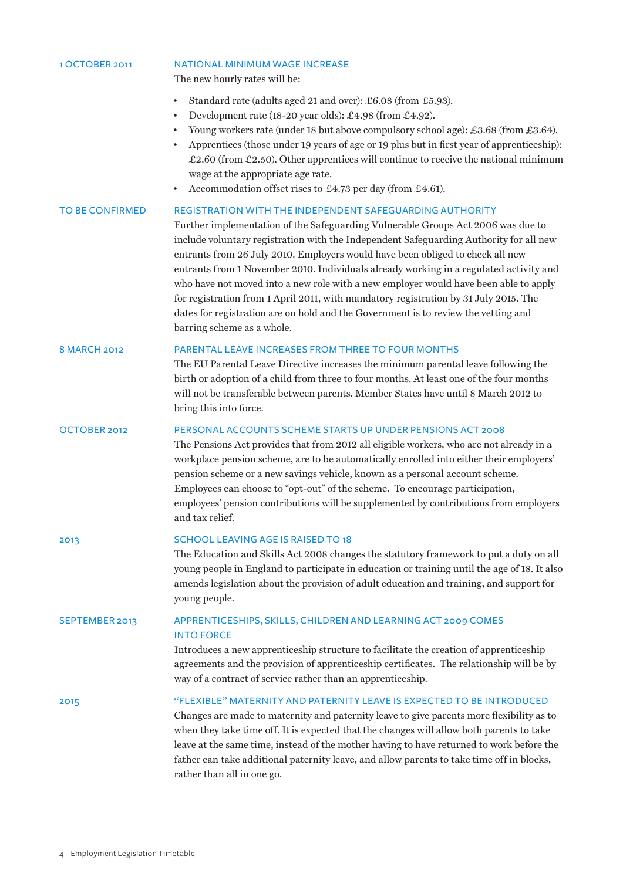| 1 OCTOBER 2011         | NATIONAL MINIMUM WAGE INCREASE<br>The new hourly rates will be:                                                                                                                                                                                                                                                                                                                                                                                                                                                                                                                                                                                                                                                        |
|------------------------|------------------------------------------------------------------------------------------------------------------------------------------------------------------------------------------------------------------------------------------------------------------------------------------------------------------------------------------------------------------------------------------------------------------------------------------------------------------------------------------------------------------------------------------------------------------------------------------------------------------------------------------------------------------------------------------------------------------------|
|                        | Standard rate (adults aged 21 and over): £6.08 (from £5.93).<br>$\bullet$<br>Development rate (18-20 year olds): £4.98 (from £4.92).<br>٠<br>Young workers rate (under 18 but above compulsory school age): £3.68 (from £3.64).<br>Apprentices (those under 19 years of age or 19 plus but in first year of apprenticeship):<br>£2.60 (from £2.50). Other apprentices will continue to receive the national minimum<br>wage at the appropriate age rate.<br>Accommodation offset rises to £4.73 per day (from £4.61).                                                                                                                                                                                                  |
| <b>TO BE CONFIRMED</b> | REGISTRATION WITH THE INDEPENDENT SAFEGUARDING AUTHORITY<br>Further implementation of the Safeguarding Vulnerable Groups Act 2006 was due to<br>include voluntary registration with the Independent Safeguarding Authority for all new<br>entrants from 26 July 2010. Employers would have been obliged to check all new<br>entrants from 1 November 2010. Individuals already working in a regulated activity and<br>who have not moved into a new role with a new employer would have been able to apply<br>for registration from 1 April 2011, with mandatory registration by 31 July 2015. The<br>dates for registration are on hold and the Government is to review the vetting and<br>barring scheme as a whole. |
| <b>8 MARCH 2012</b>    | PARENTAL LEAVE INCREASES FROM THREE TO FOUR MONTHS<br>The EU Parental Leave Directive increases the minimum parental leave following the<br>birth or adoption of a child from three to four months. At least one of the four months<br>will not be transferable between parents. Member States have until 8 March 2012 to<br>bring this into force.                                                                                                                                                                                                                                                                                                                                                                    |
| OCTOBER 2012           | PERSONAL ACCOUNTS SCHEME STARTS UP UNDER PENSIONS ACT 2008<br>The Pensions Act provides that from 2012 all eligible workers, who are not already in a<br>workplace pension scheme, are to be automatically enrolled into either their employers'<br>pension scheme or a new savings vehicle, known as a personal account scheme.<br>Employees can choose to "opt-out" of the scheme. To encourage participation,<br>employees' pension contributions will be supplemented by contributions from employers<br>and tax relief.                                                                                                                                                                                           |
| 2013                   | <b>SCHOOL LEAVING AGE IS RAISED TO 18</b><br>The Education and Skills Act 2008 changes the statutory framework to put a duty on all<br>young people in England to participate in education or training until the age of 18. It also<br>amends legislation about the provision of adult education and training, and support for<br>young people.                                                                                                                                                                                                                                                                                                                                                                        |
| SEPTEMBER 2013         | APPRENTICESHIPS, SKILLS, CHILDREN AND LEARNING ACT 2009 COMES<br><b>INTO FORCE</b><br>Introduces a new apprenticeship structure to facilitate the creation of apprenticeship<br>agreements and the provision of apprenticeship certificates. The relationship will be by<br>way of a contract of service rather than an apprenticeship.                                                                                                                                                                                                                                                                                                                                                                                |
| 2015                   | "FLEXIBLE" MATERNITY AND PATERNITY LEAVE IS EXPECTED TO BE INTRODUCED<br>Changes are made to maternity and paternity leave to give parents more flexibility as to<br>when they take time off. It is expected that the changes will allow both parents to take<br>leave at the same time, instead of the mother having to have returned to work before the<br>father can take additional paternity leave, and allow parents to take time off in blocks,<br>rather than all in one go.                                                                                                                                                                                                                                   |
|                        |                                                                                                                                                                                                                                                                                                                                                                                                                                                                                                                                                                                                                                                                                                                        |